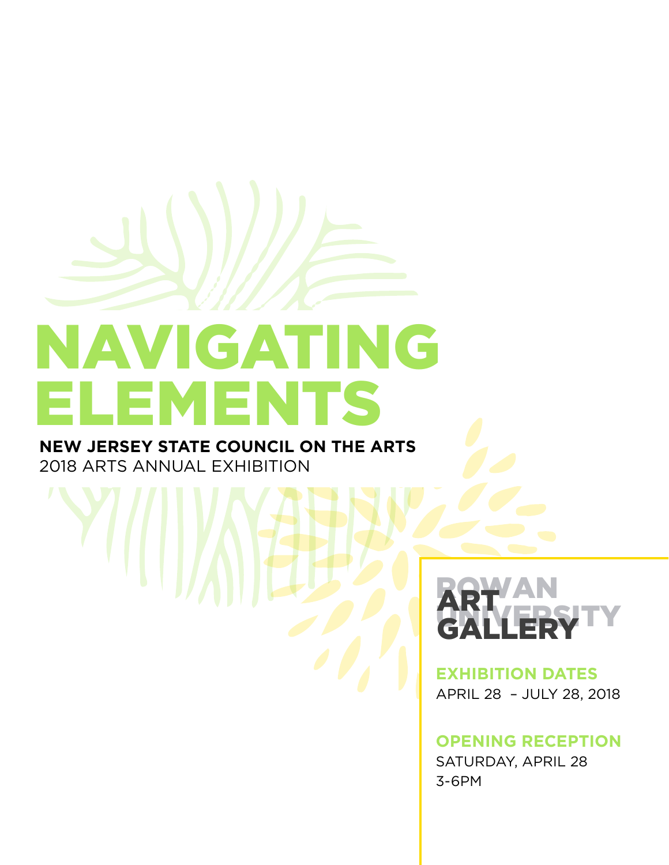# NAVIGATING ELEMENTS

**NEW JERSEY STATE COUNCIL ON THE ARTS**  2018 ARTS ANNUAL EXHIBITION



**EXHIBITION DATES** APRIL 28 – JULY 28, 2018

**OPENING RECEPTION** SATURDAY, APRIL 28 3-6PM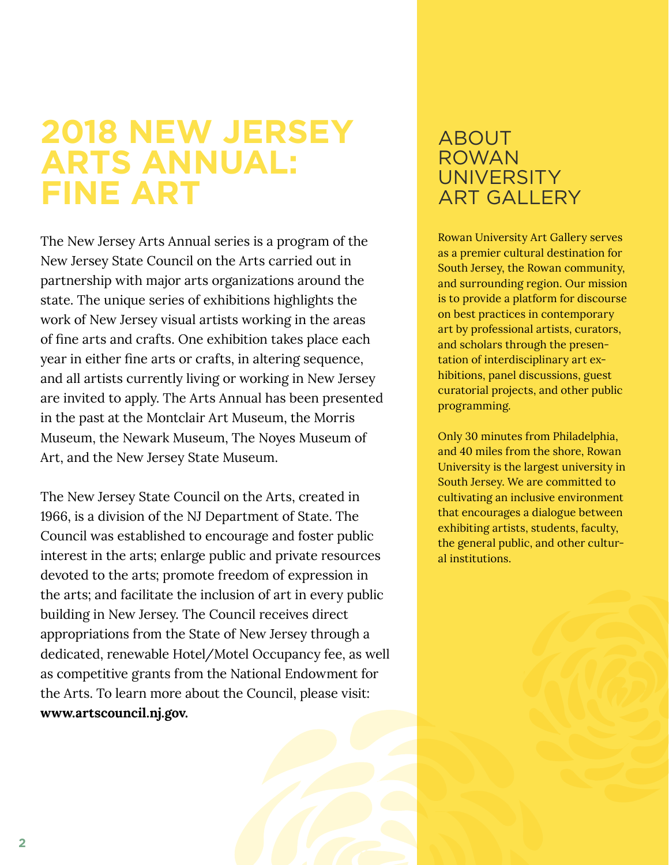### **2018 NEW JERSEY ARTS ANNUAL: FINE ART**

The New Jersey Arts Annual series is a program of the New Jersey State Council on the Arts carried out in partnership with major arts organizations around the state. The unique series of exhibitions highlights the work of New Jersey visual artists working in the areas of fine arts and crafts. One exhibition takes place each year in either fine arts or crafts, in altering sequence, and all artists currently living or working in New Jersey are invited to apply. The Arts Annual has been presented in the past at the Montclair Art Museum, the Morris Museum, the Newark Museum, The Noyes Museum of Art, and the New Jersey State Museum.

The New Jersey State Council on the Arts, created in 1966, is a division of the NJ Department of State. The Council was established to encourage and foster public interest in the arts; enlarge public and private resources devoted to the arts; promote freedom of expression in the arts; and facilitate the inclusion of art in every public building in New Jersey. The Council receives direct appropriations from the State of New Jersey through a dedicated, renewable Hotel/Motel Occupancy fee, as well as competitive grants from the National Endowment for the Arts. To learn more about the Council, please visit: **[www.artscouncil.nj.gov.](http://www.artscouncil.nj.gov)** 

### ABOUT ROWAN **UNIVERSITY ART GALLERY**

Rowan University Art Gallery serves as a premier cultural destination for South Jersey, the Rowan community, and surrounding region. Our mission is to provide a platform for discourse on best practices in contemporary art by professional artists, curators, and scholars through the presentation of interdisciplinary art exhibitions, panel discussions, guest curatorial projects, and other public programming.

Only 30 minutes from Philadelphia, and 40 miles from the shore, Rowan University is the largest university in South Jersey. We are committed to cultivating an inclusive environment that encourages a dialogue between exhibiting artists, students, faculty, the general public, and other cultural institutions.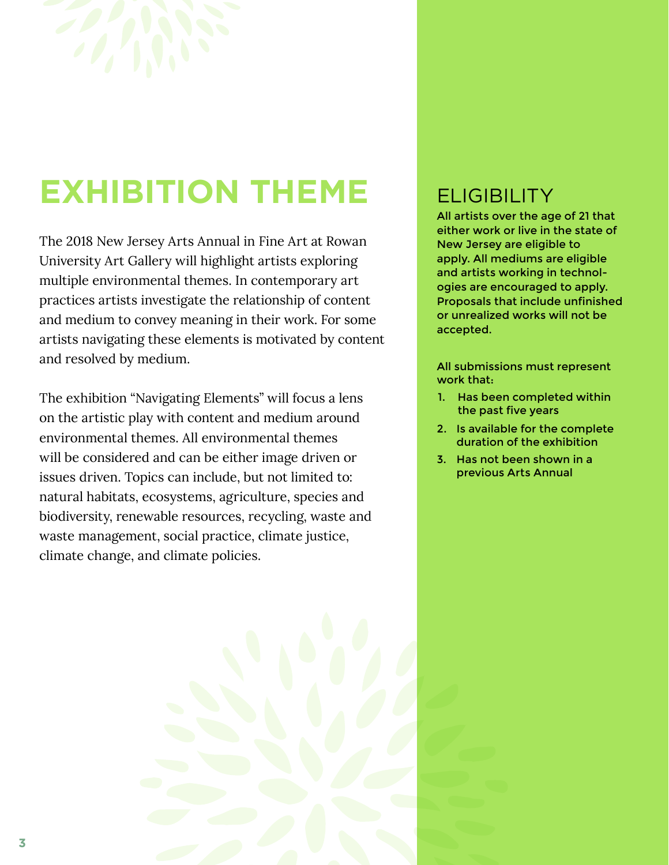

# **EXHIBITION THEME**

The 2018 New Jersey Arts Annual in Fine Art at Rowan University Art Gallery will highlight artists exploring multiple environmental themes. In contemporary art practices artists investigate the relationship of content and medium to convey meaning in their work. For some artists navigating these elements is motivated by content and resolved by medium.

The exhibition "Navigating Elements" will focus a lens on the artistic play with content and medium around environmental themes. All environmental themes will be considered and can be either image driven or issues driven. Topics can include, but not limited to: natural habitats, ecosystems, agriculture, species and biodiversity, renewable resources, recycling, waste and waste management, social practice, climate justice, climate change, and climate policies.

### **ELIGIBILITY**

All artists over the age of 21 that either work or live in the state of New Jersey are eligible to apply. All mediums are eligible and artists working in technologies are encouraged to apply. Proposals that include unfinished or unrealized works will not be accepted.

All submissions must represent work that:

- 1. Has been completed within the past five years
- 2. Is available for the complete duration of the exhibition
- 3. Has not been shown in a previous Arts Annual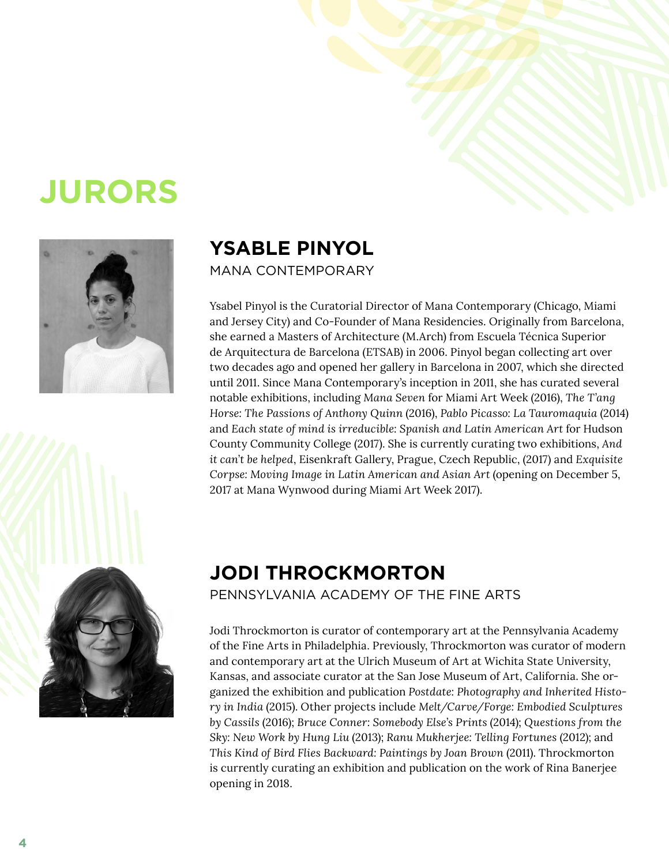# **JURORS**



### **YSABLE PINYOL**

MANA CONTEMPORARY

Ysabel Pinyol is the Curatorial Director of Mana Contemporary (Chicago, Miami and Jersey City) and Co-Founder of Mana Residencies. Originally from Barcelona, she earned a Masters of Architecture (M.Arch) from Escuela Técnica Superior de Arquitectura de Barcelona (ETSAB) in 2006. Pinyol began collecting art over two decades ago and opened her gallery in Barcelona in 2007, which she directed until 2011. Since Mana Contemporary's inception in 2011, she has curated several notable exhibitions, including *Mana Seven* for Miami Art Week (2016), *The T'ang Horse: The Passions of Anthony Quinn* (2016), *Pablo Picasso: La Tauromaquia* (2014) and *Each state of mind is irreducible: Spanish and Latin American Art* for Hudson County Community College (2017). She is currently curating two exhibitions, *And it can't be helped*, Eisenkraft Gallery, Prague, Czech Republic, (2017) and *Exquisite Corpse: Moving Image in Latin American and Asian Art* (opening on December 5, 2017 at Mana Wynwood during Miami Art Week 2017).



### **JODI THROCKMORTON**

PENNSYLVANIA ACADEMY OF THE FINE ARTS

Jodi Throckmorton is curator of contemporary art at the Pennsylvania Academy of the Fine Arts in Philadelphia. Previously, Throckmorton was curator of modern and contemporary art at the Ulrich Museum of Art at Wichita State University, Kansas, and associate curator at the San Jose Museum of Art, California. She organized the exhibition and publication *Postdate: Photography and Inherited History in India* (2015). Other projects include *Melt/Carve/Forge: Embodied Sculptures by Cassils* (2016); *Bruce Conner: Somebody Else's Prints* (2014); *Questions from the Sky: New Work by Hung Liu* (2013); *Ranu Mukherjee: Telling Fortunes* (2012); and *This Kind of Bird Flies Backward: Paintings by Joan Brown* (2011). Throckmorton is currently curating an exhibition and publication on the work of Rina Banerjee opening in 2018.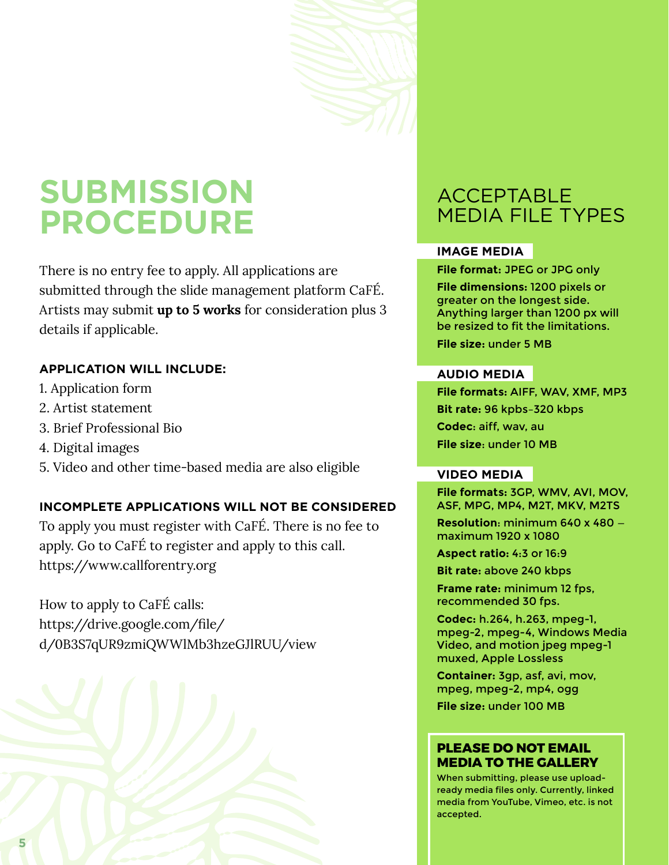## **SUBMISSION PROCEDURE**

There is no entry fee to apply. All applications are submitted through the slide management platform CaFÉ. Artists may submit **up to 5 works** for consideration plus 3 details if applicable.

#### **APPLICATION WILL INCLUDE:**

- 1. Application form
- 2. Artist statement
- 3. Brief Professional Bio
- 4. Digital images
- 5. Video and other time-based media are also eligible

#### **INCOMPLETE APPLICATIONS WILL NOT BE CONSIDERED**

To apply you must register with CaFÉ. There is no fee to apply. Go to CaFÉ to register and apply to this call. <https://www.callforentry.org>

[https://drive.google.com/file/](https://drive.google.com/file/d/0B3S7qUR9zmiQWWlMb3hzeGJlRUU/view) [d/0B3S7qUR9zmiQWWlMb3hzeGJlRUU/view](https://drive.google.com/file/d/0B3S7qUR9zmiQWWlMb3hzeGJlRUU/view)



### ACCEPTABLE MEDIA FILE TYPES

#### **IMAGE MEDIA**

**File format:** JPEG or JPG only

**File dimensions:** 1200 pixels or greater on the longest side. Anything larger than 1200 px will be resized to fit the limitations.

**File size:** under 5 MB

#### **AUDIO MEDIA**

**File formats:** AIFF, WAV, XMF, MP3 **Bit rate:** 96 kpbs–320 kbps **Codec**: aiff, wav, au **File size**: under 10 MB

#### **VIDEO MEDIA**

**File formats:** 3GP, WMV, AVI, MOV, ASF, MPG, MP4, M2T, MKV, M2TS

**Resolution**: minimum 640 x 480 maximum 1920 x 1080

**Aspect ratio:** 4:3 or 16:9

**Bit rate:** above 240 kbps

**Frame rate:** minimum 12 fps, recommended 30 fps.

**Codec:** h.264, h.263, mpeg-1, mpeg-2, mpeg-4, Windows Media Video, and motion jpeg mpeg-1 muxed, Apple Lossless

**Container:** 3gp, asf, avi, mov, mpeg, mpeg-2, mp4, ogg **File size:** under 100 MB

#### **PLEASE DO NOT EMAIL MEDIA TO THE GALLERY**

When submitting, please use uploadready media files only. Currently, linked media from YouTube, Vimeo, etc. is not accepted.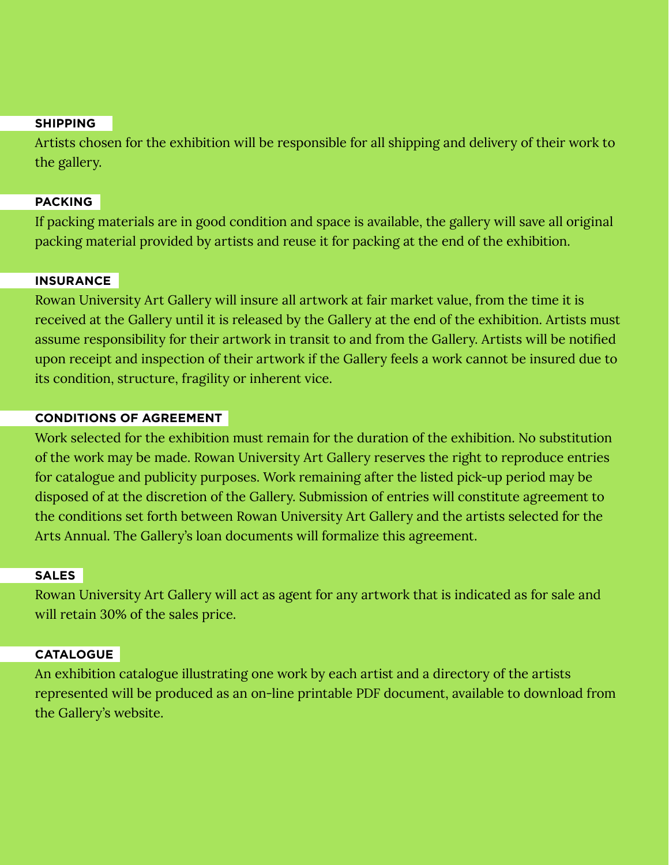#### **SHIPPING**

Artists chosen for the exhibition will be responsible for all shipping and delivery of their work to the gallery.

#### **PACKING**

If packing materials are in good condition and space is available, the gallery will save all original packing material provided by artists and reuse it for packing at the end of the exhibition.

#### **INSURANCE**

Rowan University Art Gallery will insure all artwork at fair market value, from the time it is received at the Gallery until it is released by the Gallery at the end of the exhibition. Artists must assume responsibility for their artwork in transit to and from the Gallery. Artists will be notified upon receipt and inspection of their artwork if the Gallery feels a work cannot be insured due to its condition, structure, fragility or inherent vice.

#### **CONDITIONS OF AGREEMENT**

Work selected for the exhibition must remain for the duration of the exhibition. No substitution of the work may be made. Rowan University Art Gallery reserves the right to reproduce entries for catalogue and publicity purposes. Work remaining after the listed pick-up period may be disposed of at the discretion of the Gallery. Submission of entries will constitute agreement to the conditions set forth between Rowan University Art Gallery and the artists selected for the Arts Annual. The Gallery's loan documents will formalize this agreement.

#### **SALES**

Rowan University Art Gallery will act as agent for any artwork that is indicated as for sale and will retain 30% of the sales price.

#### **CATALOGUE**

An exhibition catalogue illustrating one work by each artist and a directory of the artists represented will be produced as an on-line printable PDF document, available to download from the Gallery's website.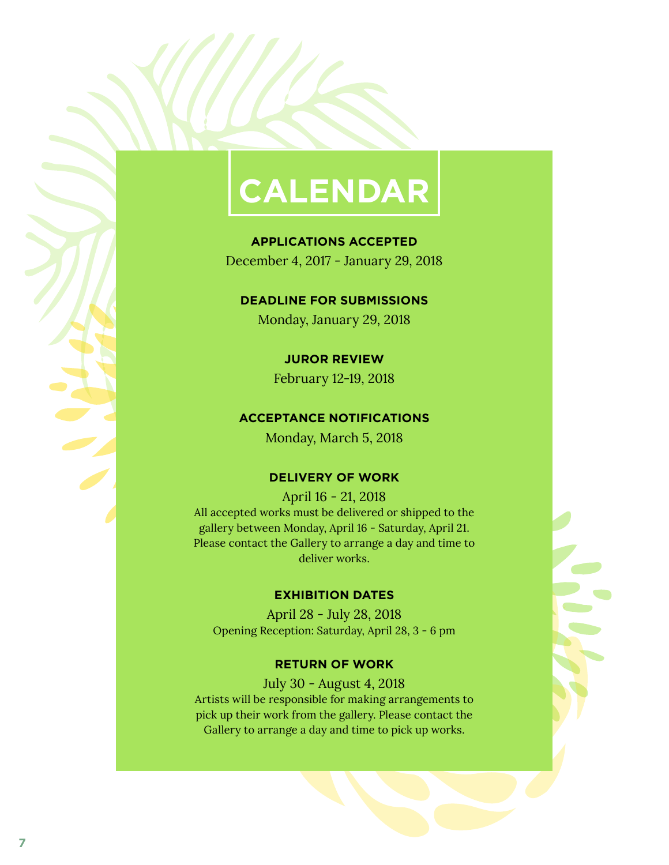# **CALENDAR**

**APPLICATIONS ACCEPTED** December 4, 2017 - January 29, 2018

**DEADLINE FOR SUBMISSIONS**

Monday, January 29, 2018

**JUROR REVIEW**

February 12-19, 2018

#### **ACCEPTANCE NOTIFICATIONS**

Monday, March 5, 2018

#### **DELIVERY OF WORK**

April 16 - 21, 2018 All accepted works must be delivered or shipped to the gallery between Monday, April 16 - Saturday, April 21. Please contact the Gallery to arrange a day and time to deliver works.

#### **EXHIBITION DATES**

April 28 - July 28, 2018 Opening Reception: Saturday, April 28, 3 - 6 pm

#### **RETURN OF WORK**

July 30 - August 4, 2018 Artists will be responsible for making arrangements to pick up their work from the gallery. Please contact the Gallery to arrange a day and time to pick up works.